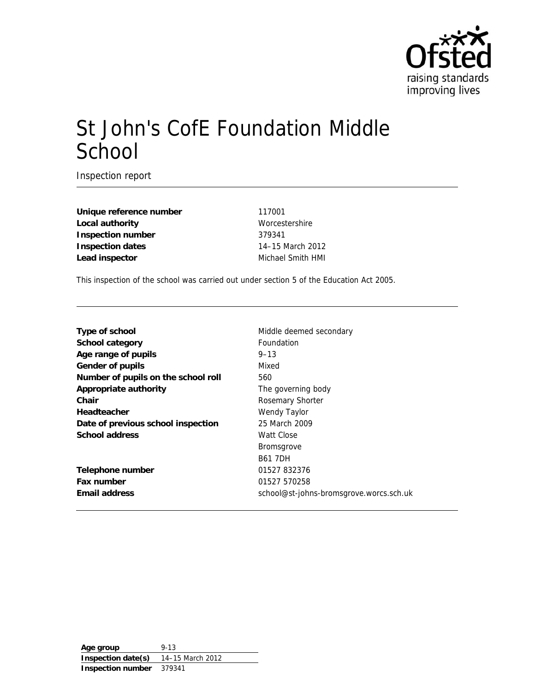

# St John's CofE Foundation Middle **School**

Inspection report

**Unique reference number** 117001 **Local authority** Worcestershire **Inspection number** 379341 **Inspection dates** 14–15 March 2012 Lead inspector **Michael Smith HMI** 

This inspection of the school was carried out under section 5 of the Education Act 2005.

| Type of school                      | Middle deemed secondary                 |
|-------------------------------------|-----------------------------------------|
| <b>School category</b>              | <b>Foundation</b>                       |
| Age range of pupils                 | $9 - 13$                                |
| Gender of pupils                    | Mixed                                   |
| Number of pupils on the school roll | 560                                     |
| <b>Appropriate authority</b>        | The governing body                      |
| Chair                               | Rosemary Shorter                        |
| <b>Headteacher</b>                  | Wendy Taylor                            |
| Date of previous school inspection  | 25 March 2009                           |
| <b>School address</b>               | Watt Close                              |
|                                     | <b>Bromsgrove</b>                       |
|                                     | <b>B61 7DH</b>                          |
| <b>Telephone number</b>             | 01527 832376                            |
| Fax number                          | 01527 570258                            |
| <b>Email address</b>                | school@st-johns-bromsgrove.worcs.sch.uk |

**Age group** 9-13 **Inspection date(s)** 14–15 March 2012 **Inspection number** 379341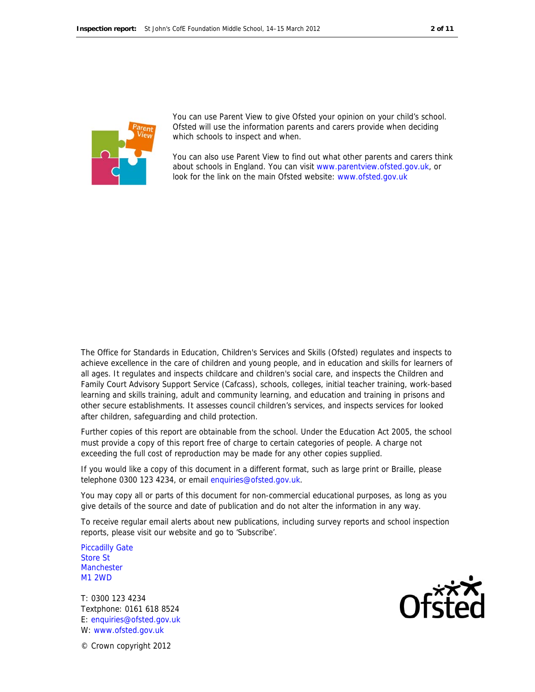

You can use Parent View to give Ofsted your opinion on your child's school. Ofsted will use the information parents and carers provide when deciding which schools to inspect and when.

You can also use Parent View to find out what other parents and carers think about schools in England. You can visit www.parentview.ofsted.gov.uk, or look for the link on the main Ofsted website: www.ofsted.gov.uk

The Office for Standards in Education, Children's Services and Skills (Ofsted) regulates and inspects to achieve excellence in the care of children and young people, and in education and skills for learners of all ages. It regulates and inspects childcare and children's social care, and inspects the Children and Family Court Advisory Support Service (Cafcass), schools, colleges, initial teacher training, work-based learning and skills training, adult and community learning, and education and training in prisons and other secure establishments. It assesses council children's services, and inspects services for looked after children, safeguarding and child protection.

Further copies of this report are obtainable from the school. Under the Education Act 2005, the school must provide a copy of this report free of charge to certain categories of people. A charge not exceeding the full cost of reproduction may be made for any other copies supplied.

If you would like a copy of this document in a different format, such as large print or Braille, please telephone 0300 123 4234, or email enquiries@ofsted.gov.uk.

You may copy all or parts of this document for non-commercial educational purposes, as long as you give details of the source and date of publication and do not alter the information in any way.

To receive regular email alerts about new publications, including survey reports and school inspection reports, please visit our website and go to 'Subscribe'.

Piccadilly Gate Store St **Manchester** M1 2WD

T: 0300 123 4234 Textphone: 0161 618 8524 E: enquiries@ofsted.gov.uk W: www.ofsted.gov.uk

© Crown copyright 2012

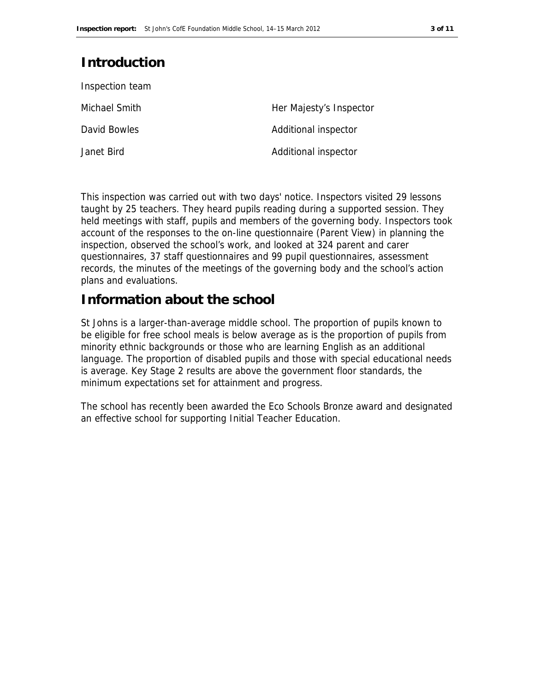# **Introduction**

| Inspection team |                         |
|-----------------|-------------------------|
| Michael Smith   | Her Majesty's Inspector |
| David Bowles    | Additional inspector    |
| Janet Bird      | Additional inspector    |

This inspection was carried out with two days' notice. Inspectors visited 29 lessons taught by 25 teachers. They heard pupils reading during a supported session. They held meetings with staff, pupils and members of the governing body. Inspectors took account of the responses to the on-line questionnaire (Parent View) in planning the inspection, observed the school's work, and looked at 324 parent and carer questionnaires, 37 staff questionnaires and 99 pupil questionnaires, assessment records, the minutes of the meetings of the governing body and the school's action plans and evaluations.

## **Information about the school**

St Johns is a larger-than-average middle school. The proportion of pupils known to be eligible for free school meals is below average as is the proportion of pupils from minority ethnic backgrounds or those who are learning English as an additional language. The proportion of disabled pupils and those with special educational needs is average. Key Stage 2 results are above the government floor standards, the minimum expectations set for attainment and progress.

The school has recently been awarded the Eco Schools Bronze award and designated an effective school for supporting Initial Teacher Education.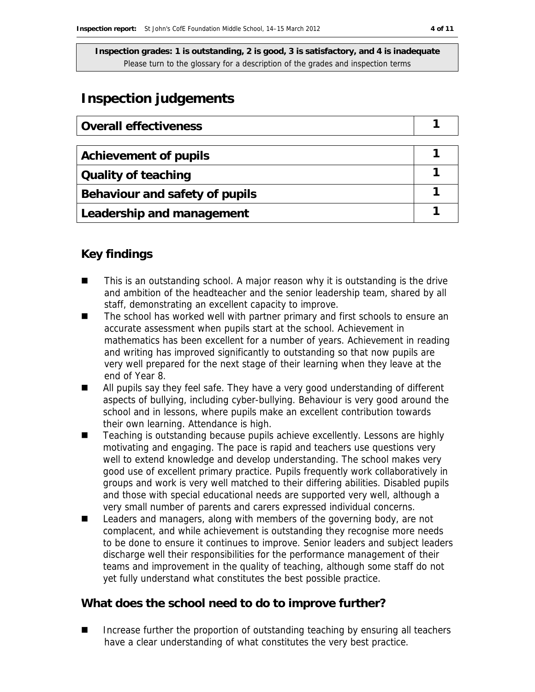# **Inspection judgements**

| Overall effectiveness          |  |
|--------------------------------|--|
|                                |  |
| <b>Achievement of pupils</b>   |  |
| <b>Quality of teaching</b>     |  |
| Behaviour and safety of pupils |  |
| Leadership and management      |  |

### **Key findings**

- This is an outstanding school. A major reason why it is outstanding is the drive and ambition of the headteacher and the senior leadership team, shared by all staff, demonstrating an excellent capacity to improve.
- The school has worked well with partner primary and first schools to ensure an accurate assessment when pupils start at the school. Achievement in mathematics has been excellent for a number of years. Achievement in reading and writing has improved significantly to outstanding so that now pupils are very well prepared for the next stage of their learning when they leave at the end of Year 8.
- All pupils say they feel safe. They have a very good understanding of different aspects of bullying, including cyber-bullying. Behaviour is very good around the school and in lessons, where pupils make an excellent contribution towards their own learning. Attendance is high.
- Teaching is outstanding because pupils achieve excellently. Lessons are highly motivating and engaging. The pace is rapid and teachers use questions very well to extend knowledge and develop understanding. The school makes very good use of excellent primary practice. Pupils frequently work collaboratively in groups and work is very well matched to their differing abilities. Disabled pupils and those with special educational needs are supported very well, although a very small number of parents and carers expressed individual concerns.
- Leaders and managers, along with members of the governing body, are not complacent, and while achievement is outstanding they recognise more needs to be done to ensure it continues to improve. Senior leaders and subject leaders discharge well their responsibilities for the performance management of their teams and improvement in the quality of teaching, although some staff do not yet fully understand what constitutes the best possible practice.

### **What does the school need to do to improve further?**

 Increase further the proportion of outstanding teaching by ensuring all teachers have a clear understanding of what constitutes the very best practice.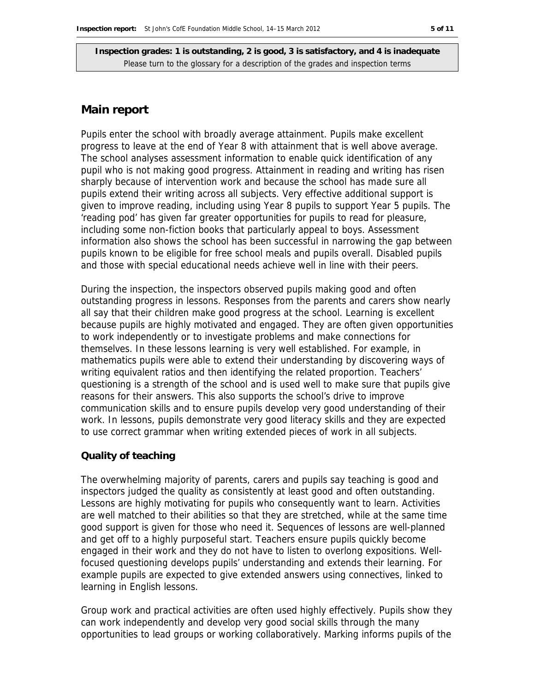#### **Main report**

Pupils enter the school with broadly average attainment. Pupils make excellent progress to leave at the end of Year 8 with attainment that is well above average. The school analyses assessment information to enable quick identification of any pupil who is not making good progress. Attainment in reading and writing has risen sharply because of intervention work and because the school has made sure all pupils extend their writing across all subjects. Very effective additional support is given to improve reading, including using Year 8 pupils to support Year 5 pupils. The 'reading pod' has given far greater opportunities for pupils to read for pleasure, including some non-fiction books that particularly appeal to boys. Assessment information also shows the school has been successful in narrowing the gap between pupils known to be eligible for free school meals and pupils overall. Disabled pupils and those with special educational needs achieve well in line with their peers.

During the inspection, the inspectors observed pupils making good and often outstanding progress in lessons. Responses from the parents and carers show nearly all say that their children make good progress at the school. Learning is excellent because pupils are highly motivated and engaged. They are often given opportunities to work independently or to investigate problems and make connections for themselves. In these lessons learning is very well established. For example, in mathematics pupils were able to extend their understanding by discovering ways of writing equivalent ratios and then identifying the related proportion. Teachers' questioning is a strength of the school and is used well to make sure that pupils give reasons for their answers. This also supports the school's drive to improve communication skills and to ensure pupils develop very good understanding of their work. In lessons, pupils demonstrate very good literacy skills and they are expected to use correct grammar when writing extended pieces of work in all subjects.

#### **Quality of teaching**

The overwhelming majority of parents, carers and pupils say teaching is good and inspectors judged the quality as consistently at least good and often outstanding. Lessons are highly motivating for pupils who consequently want to learn. Activities are well matched to their abilities so that they are stretched, while at the same time good support is given for those who need it. Sequences of lessons are well-planned and get off to a highly purposeful start. Teachers ensure pupils quickly become engaged in their work and they do not have to listen to overlong expositions. Wellfocused questioning develops pupils' understanding and extends their learning. For example pupils are expected to give extended answers using connectives, linked to learning in English lessons.

Group work and practical activities are often used highly effectively. Pupils show they can work independently and develop very good social skills through the many opportunities to lead groups or working collaboratively. Marking informs pupils of the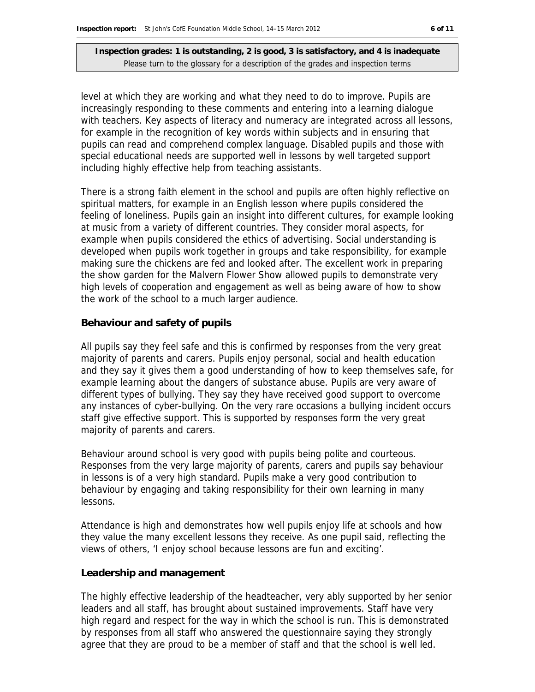level at which they are working and what they need to do to improve. Pupils are increasingly responding to these comments and entering into a learning dialogue with teachers. Key aspects of literacy and numeracy are integrated across all lessons, for example in the recognition of key words within subjects and in ensuring that pupils can read and comprehend complex language. Disabled pupils and those with special educational needs are supported well in lessons by well targeted support including highly effective help from teaching assistants.

There is a strong faith element in the school and pupils are often highly reflective on spiritual matters, for example in an English lesson where pupils considered the feeling of loneliness. Pupils gain an insight into different cultures, for example looking at music from a variety of different countries. They consider moral aspects, for example when pupils considered the ethics of advertising. Social understanding is developed when pupils work together in groups and take responsibility, for example making sure the chickens are fed and looked after. The excellent work in preparing the show garden for the Malvern Flower Show allowed pupils to demonstrate very high levels of cooperation and engagement as well as being aware of how to show the work of the school to a much larger audience.

#### **Behaviour and safety of pupils**

All pupils say they feel safe and this is confirmed by responses from the very great majority of parents and carers. Pupils enjoy personal, social and health education and they say it gives them a good understanding of how to keep themselves safe, for example learning about the dangers of substance abuse. Pupils are very aware of different types of bullying. They say they have received good support to overcome any instances of cyber-bullying. On the very rare occasions a bullying incident occurs staff give effective support. This is supported by responses form the very great majority of parents and carers.

Behaviour around school is very good with pupils being polite and courteous. Responses from the very large majority of parents, carers and pupils say behaviour in lessons is of a very high standard. Pupils make a very good contribution to behaviour by engaging and taking responsibility for their own learning in many lessons.

Attendance is high and demonstrates how well pupils enjoy life at schools and how they value the many excellent lessons they receive. As one pupil said, reflecting the views of others, 'I enjoy school because lessons are fun and exciting'.

#### **Leadership and management**

The highly effective leadership of the headteacher, very ably supported by her senior leaders and all staff, has brought about sustained improvements. Staff have very high regard and respect for the way in which the school is run. This is demonstrated by responses from all staff who answered the questionnaire saying they strongly agree that they are proud to be a member of staff and that the school is well led.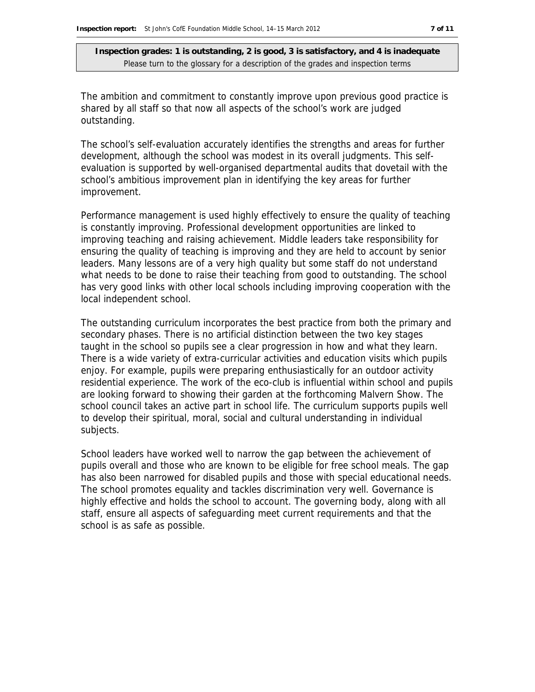The ambition and commitment to constantly improve upon previous good practice is shared by all staff so that now all aspects of the school's work are judged outstanding.

The school's self-evaluation accurately identifies the strengths and areas for further development, although the school was modest in its overall judgments. This selfevaluation is supported by well-organised departmental audits that dovetail with the school's ambitious improvement plan in identifying the key areas for further improvement.

Performance management is used highly effectively to ensure the quality of teaching is constantly improving. Professional development opportunities are linked to improving teaching and raising achievement. Middle leaders take responsibility for ensuring the quality of teaching is improving and they are held to account by senior leaders. Many lessons are of a very high quality but some staff do not understand what needs to be done to raise their teaching from good to outstanding. The school has very good links with other local schools including improving cooperation with the local independent school.

The outstanding curriculum incorporates the best practice from both the primary and secondary phases. There is no artificial distinction between the two key stages taught in the school so pupils see a clear progression in how and what they learn. There is a wide variety of extra-curricular activities and education visits which pupils enjoy. For example, pupils were preparing enthusiastically for an outdoor activity residential experience. The work of the eco-club is influential within school and pupils are looking forward to showing their garden at the forthcoming Malvern Show. The school council takes an active part in school life. The curriculum supports pupils well to develop their spiritual, moral, social and cultural understanding in individual subjects.

School leaders have worked well to narrow the gap between the achievement of pupils overall and those who are known to be eligible for free school meals. The gap has also been narrowed for disabled pupils and those with special educational needs. The school promotes equality and tackles discrimination very well. Governance is highly effective and holds the school to account. The governing body, along with all staff, ensure all aspects of safeguarding meet current requirements and that the school is as safe as possible.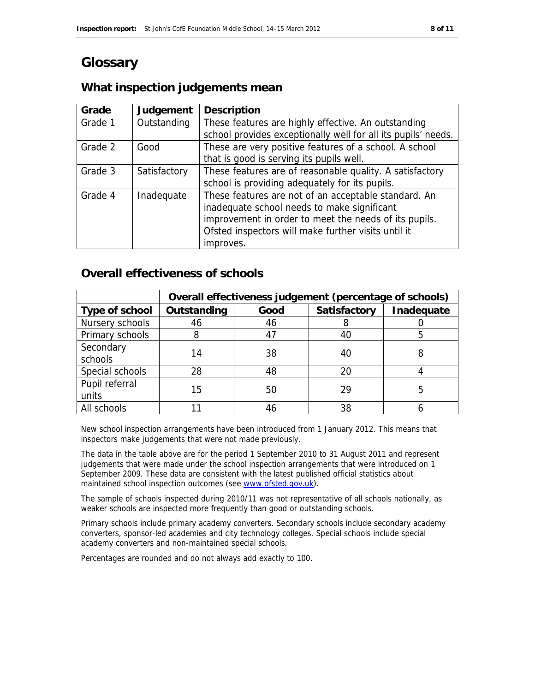# **Glossary**

# **What inspection judgements mean**

| Grade   | Judgement    | <b>Description</b>                                            |
|---------|--------------|---------------------------------------------------------------|
| Grade 1 | Outstanding  | These features are highly effective. An outstanding           |
|         |              | school provides exceptionally well for all its pupils' needs. |
| Grade 2 | Good         | These are very positive features of a school. A school        |
|         |              | that is good is serving its pupils well.                      |
| Grade 3 | Satisfactory | These features are of reasonable quality. A satisfactory      |
|         |              | school is providing adequately for its pupils.                |
| Grade 4 | Inadequate   | These features are not of an acceptable standard. An          |
|         |              | inadequate school needs to make significant                   |
|         |              | improvement in order to meet the needs of its pupils.         |
|         |              | Ofsted inspectors will make further visits until it           |
|         |              | improves.                                                     |

### **Overall effectiveness of schools**

|                         | Overall effectiveness judgement (percentage of schools) |      |                     |            |
|-------------------------|---------------------------------------------------------|------|---------------------|------------|
| Type of school          | Outstanding                                             | Good | <b>Satisfactory</b> | Inadequate |
| Nursery schools         | 46                                                      | 46   | 8                   |            |
| Primary schools         | 8                                                       | 47   | 40                  |            |
| Secondary<br>schools    | 14                                                      | 38   | 40                  |            |
| Special schools         | 28                                                      | 48   | 20                  |            |
| Pupil referral<br>units | 15                                                      | 50   | 29                  | 5          |
| All schools             |                                                         | 46   | 38                  |            |

New school inspection arrangements have been introduced from 1 January 2012. This means that inspectors make judgements that were not made previously.

The data in the table above are for the period 1 September 2010 to 31 August 2011 and represent judgements that were made under the school inspection arrangements that were introduced on 1 September 2009. These data are consistent with the latest published official statistics about maintained school inspection outcomes (see www.ofsted.gov.uk).

The sample of schools inspected during 2010/11 was not representative of all schools nationally, as weaker schools are inspected more frequently than good or outstanding schools.

Primary schools include primary academy converters. Secondary schools include secondary academy converters, sponsor-led academies and city technology colleges. Special schools include special academy converters and non-maintained special schools.

Percentages are rounded and do not always add exactly to 100.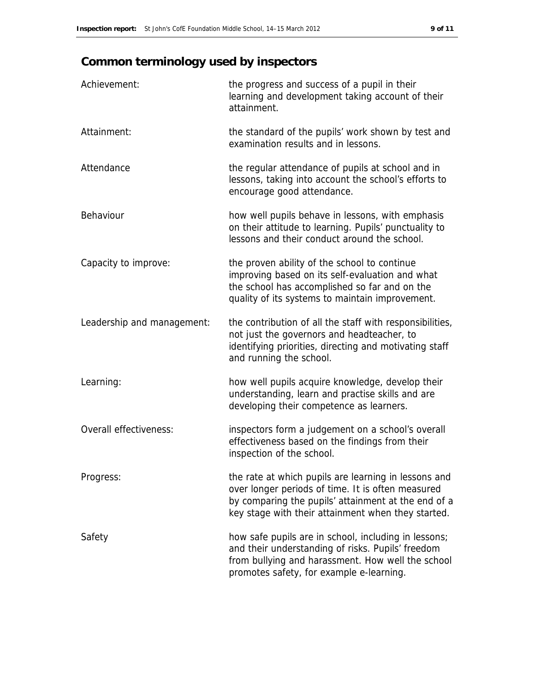# **Common terminology used by inspectors**

| Achievement:               | the progress and success of a pupil in their<br>learning and development taking account of their<br>attainment.                                                                                                        |
|----------------------------|------------------------------------------------------------------------------------------------------------------------------------------------------------------------------------------------------------------------|
| Attainment:                | the standard of the pupils' work shown by test and<br>examination results and in lessons.                                                                                                                              |
| Attendance                 | the regular attendance of pupils at school and in<br>lessons, taking into account the school's efforts to<br>encourage good attendance.                                                                                |
| Behaviour                  | how well pupils behave in lessons, with emphasis<br>on their attitude to learning. Pupils' punctuality to<br>lessons and their conduct around the school.                                                              |
| Capacity to improve:       | the proven ability of the school to continue<br>improving based on its self-evaluation and what<br>the school has accomplished so far and on the<br>quality of its systems to maintain improvement.                    |
| Leadership and management: | the contribution of all the staff with responsibilities,<br>not just the governors and headteacher, to<br>identifying priorities, directing and motivating staff<br>and running the school.                            |
| Learning:                  | how well pupils acquire knowledge, develop their<br>understanding, learn and practise skills and are<br>developing their competence as learners.                                                                       |
| Overall effectiveness:     | inspectors form a judgement on a school's overall<br>effectiveness based on the findings from their<br>inspection of the school.                                                                                       |
| Progress:                  | the rate at which pupils are learning in lessons and<br>over longer periods of time. It is often measured<br>by comparing the pupils' attainment at the end of a<br>key stage with their attainment when they started. |
| Safety                     | how safe pupils are in school, including in lessons;<br>and their understanding of risks. Pupils' freedom<br>from bullying and harassment. How well the school<br>promotes safety, for example e-learning.             |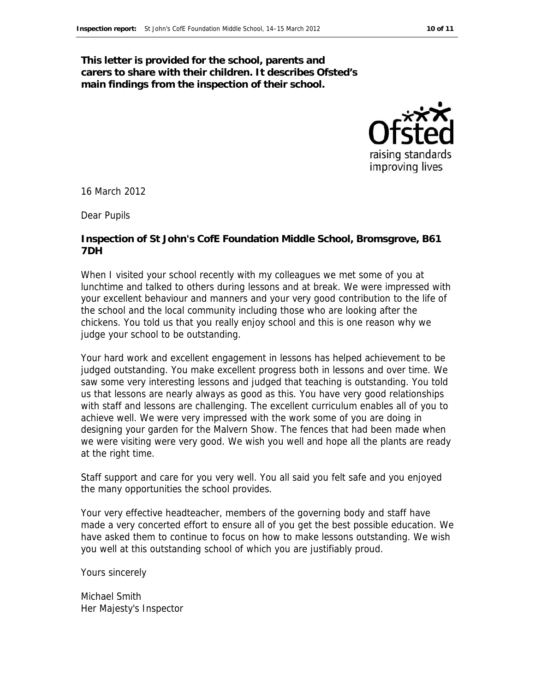#### **This letter is provided for the school, parents and carers to share with their children. It describes Ofsted's main findings from the inspection of their school.**

raising standards improving lives

16 March 2012

Dear Pupils

#### **Inspection of St John's CofE Foundation Middle School, Bromsgrove, B61 7DH**

When I visited your school recently with my colleagues we met some of you at lunchtime and talked to others during lessons and at break. We were impressed with your excellent behaviour and manners and your very good contribution to the life of the school and the local community including those who are looking after the chickens. You told us that you really enjoy school and this is one reason why we judge your school to be outstanding.

Your hard work and excellent engagement in lessons has helped achievement to be judged outstanding. You make excellent progress both in lessons and over time. We saw some very interesting lessons and judged that teaching is outstanding. You told us that lessons are nearly always as good as this. You have very good relationships with staff and lessons are challenging. The excellent curriculum enables all of you to achieve well. We were very impressed with the work some of you are doing in designing your garden for the Malvern Show. The fences that had been made when we were visiting were very good. We wish you well and hope all the plants are ready at the right time.

Staff support and care for you very well. You all said you felt safe and you enjoyed the many opportunities the school provides.

Your very effective headteacher, members of the governing body and staff have made a very concerted effort to ensure all of you get the best possible education. We have asked them to continue to focus on how to make lessons outstanding. We wish you well at this outstanding school of which you are justifiably proud.

Yours sincerely

Michael Smith Her Majesty's Inspector